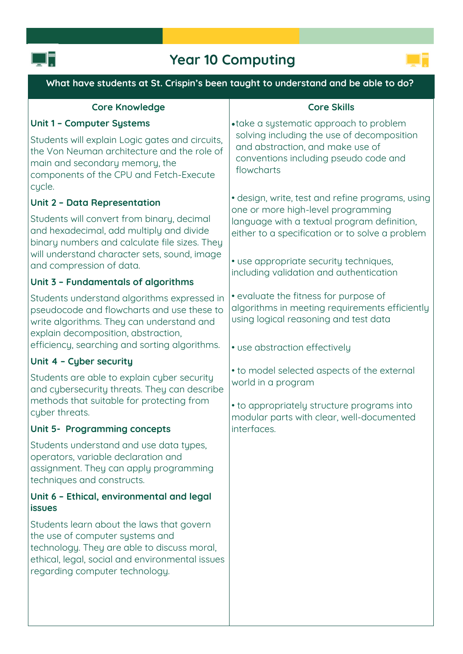

## **Year 10 Computing**



| What have students at St. Crispin's been taught to understand and be able to do?                                                                                                                                               |                                                                                                                                                                                                                                    |
|--------------------------------------------------------------------------------------------------------------------------------------------------------------------------------------------------------------------------------|------------------------------------------------------------------------------------------------------------------------------------------------------------------------------------------------------------------------------------|
| <b>Core Knowledge</b>                                                                                                                                                                                                          | <b>Core Skills</b>                                                                                                                                                                                                                 |
| <b>Unit 1 - Computer Systems</b>                                                                                                                                                                                               | • take a systematic approach to problem<br>solving including the use of decomposition<br>and abstraction, and make use of<br>conventions including pseudo code and<br>flowcharts                                                   |
| Students will explain Logic gates and circuits,<br>the Von Neuman architecture and the role of<br>main and secondary memory, the<br>components of the CPU and Fetch-Execute<br>cycle.                                          |                                                                                                                                                                                                                                    |
| Unit 2 - Data Representation                                                                                                                                                                                                   | • design, write, test and refine programs, using<br>one or more high-level programming<br>language with a textual program definition,<br>either to a specification or to solve a problem<br>• use appropriate security techniques, |
| Students will convert from binary, decimal<br>and hexadecimal, add multiply and divide<br>binary numbers and calculate file sizes. They<br>will understand character sets, sound, image                                        |                                                                                                                                                                                                                                    |
| and compression of data.                                                                                                                                                                                                       | including validation and authentication                                                                                                                                                                                            |
| Unit 3 - Fundamentals of algorithms                                                                                                                                                                                            |                                                                                                                                                                                                                                    |
| Students understand algorithms expressed in<br>pseudocode and flowcharts and use these to<br>write algorithms. They can understand and<br>explain decomposition, abstraction,<br>efficiency, searching and sorting algorithms. | • evaluate the fitness for purpose of<br>algorithms in meeting requirements efficiently<br>using logical reasoning and test data<br>• use abstraction effectively                                                                  |
| Unit 4 - Cyber security                                                                                                                                                                                                        |                                                                                                                                                                                                                                    |
| Students are able to explain cyber security<br>and cybersecurity threats. They can describe<br>methods that suitable for protecting from<br>cyber threats.                                                                     | • to model selected aspects of the external<br>world in a program<br>• to appropriately structure programs into                                                                                                                    |
| Unit 5- Programming concepts                                                                                                                                                                                                   | modular parts with clear, well-documented<br>interfaces.                                                                                                                                                                           |
| Students understand and use data types,<br>operators, variable declaration and<br>assignment. They can apply programming<br>techniques and constructs.                                                                         |                                                                                                                                                                                                                                    |
| Unit 6 - Ethical, environmental and legal<br><b>issues</b>                                                                                                                                                                     |                                                                                                                                                                                                                                    |
| Students learn about the laws that govern<br>the use of computer systems and<br>technology. They are able to discuss moral,<br>ethical, legal, social and environmental issues<br>regarding computer technology.               |                                                                                                                                                                                                                                    |
|                                                                                                                                                                                                                                |                                                                                                                                                                                                                                    |